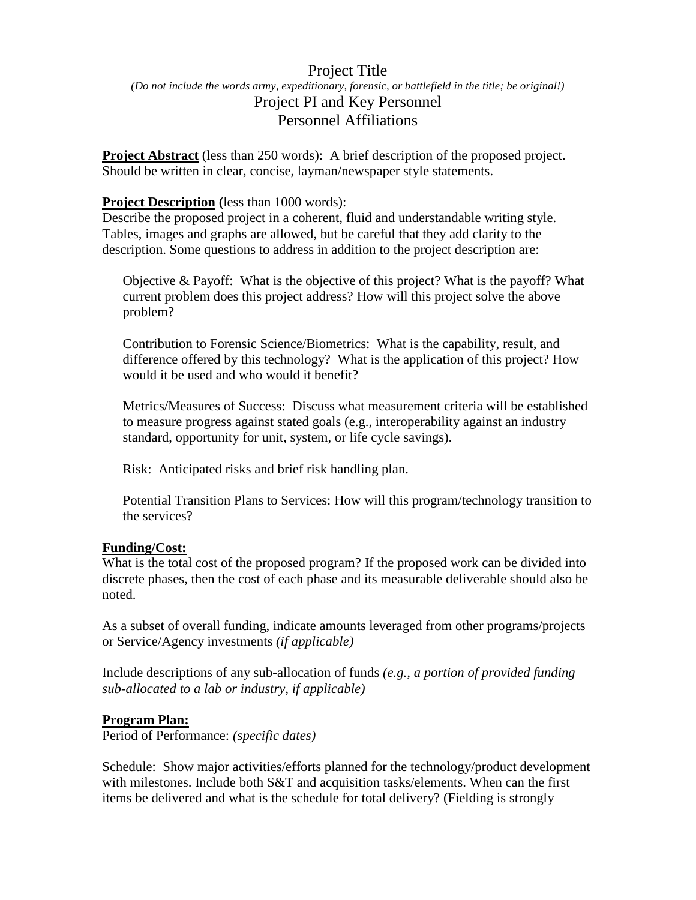# Project Title *(Do not include the words army, expeditionary, forensic, or battlefield in the title; be original!)* Project PI and Key Personnel Personnel Affiliations

**Project Abstract** (less than 250 words): A brief description of the proposed project. Should be written in clear, concise, layman/newspaper style statements.

### **Project Description (**less than 1000 words):

Describe the proposed project in a coherent, fluid and understandable writing style. Tables, images and graphs are allowed, but be careful that they add clarity to the description. Some questions to address in addition to the project description are:

Objective & Payoff: What is the objective of this project? What is the payoff? What current problem does this project address? How will this project solve the above problem?

Contribution to Forensic Science/Biometrics: What is the capability, result, and difference offered by this technology? What is the application of this project? How would it be used and who would it benefit?

Metrics/Measures of Success: Discuss what measurement criteria will be established to measure progress against stated goals (e.g., interoperability against an industry standard, opportunity for unit, system, or life cycle savings).

Risk: Anticipated risks and brief risk handling plan.

Potential Transition Plans to Services: How will this program/technology transition to the services?

#### **Funding/Cost:**

What is the total cost of the proposed program? If the proposed work can be divided into discrete phases, then the cost of each phase and its measurable deliverable should also be noted.

As a subset of overall funding, indicate amounts leveraged from other programs/projects or Service/Agency investments *(if applicable)*

Include descriptions of any sub-allocation of funds *(e.g., a portion of provided funding sub-allocated to a lab or industry, if applicable)*

#### **Program Plan:**

Period of Performance: *(specific dates)*

Schedule: Show major activities/efforts planned for the technology/product development with milestones. Include both S&T and acquisition tasks/elements. When can the first items be delivered and what is the schedule for total delivery? (Fielding is strongly